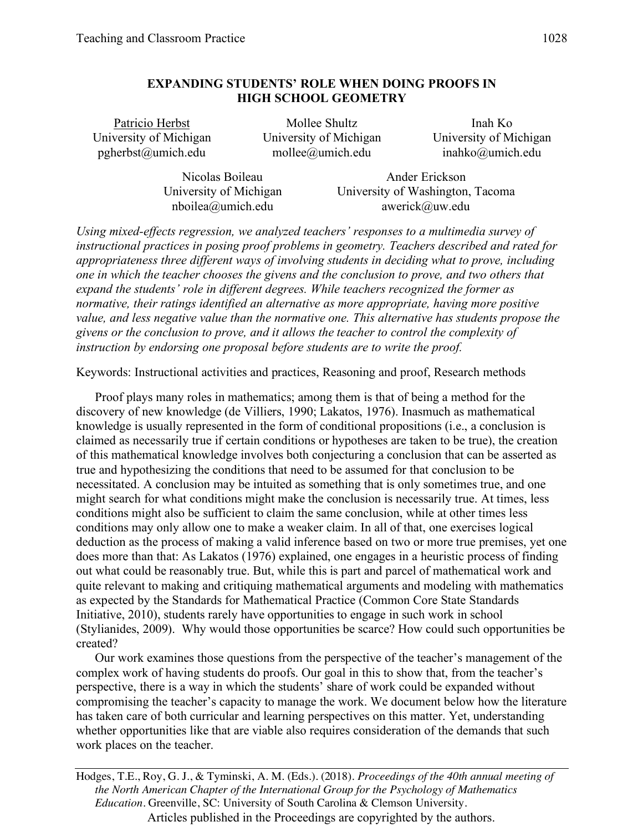# **EXPANDING STUDENTS' ROLE WHEN DOING PROOFS IN HIGH SCHOOL GEOMETRY**

Patricio Herbst **Mollee Shultz** Inah Ko University of Michigan University of Michigan University of Michigan pgherbst@umich.edu mollee@umich.edu inahko@umich.edu

Nicolas Boileau **Ander Erickson** University of Michigan University of Washington, Tacoma nboilea@umich.edu awerick@uw.edu

*Using mixed-effects regression, we analyzed teachers' responses to a multimedia survey of instructional practices in posing proof problems in geometry. Teachers described and rated for appropriateness three different ways of involving students in deciding what to prove, including one in which the teacher chooses the givens and the conclusion to prove, and two others that expand the students' role in different degrees. While teachers recognized the former as normative, their ratings identified an alternative as more appropriate, having more positive value, and less negative value than the normative one. This alternative has students propose the givens or the conclusion to prove, and it allows the teacher to control the complexity of instruction by endorsing one proposal before students are to write the proof.* 

Keywords: Instructional activities and practices, Reasoning and proof, Research methods

Proof plays many roles in mathematics; among them is that of being a method for the discovery of new knowledge (de Villiers, 1990; Lakatos, 1976). Inasmuch as mathematical knowledge is usually represented in the form of conditional propositions (i.e., a conclusion is claimed as necessarily true if certain conditions or hypotheses are taken to be true), the creation of this mathematical knowledge involves both conjecturing a conclusion that can be asserted as true and hypothesizing the conditions that need to be assumed for that conclusion to be necessitated. A conclusion may be intuited as something that is only sometimes true, and one might search for what conditions might make the conclusion is necessarily true. At times, less conditions might also be sufficient to claim the same conclusion, while at other times less conditions may only allow one to make a weaker claim. In all of that, one exercises logical deduction as the process of making a valid inference based on two or more true premises, yet one does more than that: As Lakatos (1976) explained, one engages in a heuristic process of finding out what could be reasonably true. But, while this is part and parcel of mathematical work and quite relevant to making and critiquing mathematical arguments and modeling with mathematics as expected by the Standards for Mathematical Practice (Common Core State Standards Initiative, 2010), students rarely have opportunities to engage in such work in school (Stylianides, 2009). Why would those opportunities be scarce? How could such opportunities be created?

Our work examines those questions from the perspective of the teacher's management of the complex work of having students do proofs. Our goal in this to show that, from the teacher's perspective, there is a way in which the students' share of work could be expanded without compromising the teacher's capacity to manage the work. We document below how the literature has taken care of both curricular and learning perspectives on this matter. Yet, understanding whether opportunities like that are viable also requires consideration of the demands that such work places on the teacher.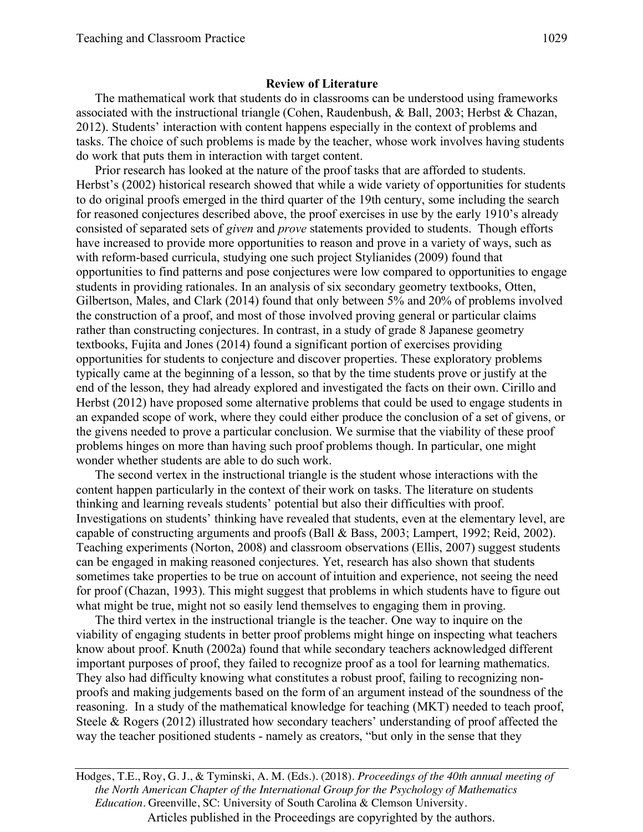The mathematical work that students do in classrooms can be understood using frameworks associated with the instructional triangle (Cohen, Raudenbush, & Ball, 2003; Herbst & Chazan, 2012). Students' interaction with content happens especially in the context of problems and tasks. The choice of such problems is made by the teacher, whose work involves having students do work that puts them in interaction with target content.

Prior research has looked at the nature of the proof tasks that are afforded to students. Herbst's (2002) historical research showed that while a wide variety of opportunities for students to do original proofs emerged in the third quarter of the 19th century, some including the search for reasoned conjectures described above, the proof exercises in use by the early 1910's already consisted of separated sets of *given* and *prove* statements provided to students. Though efforts have increased to provide more opportunities to reason and prove in a variety of ways, such as with reform-based curricula, studying one such project Stylianides (2009) found that opportunities to find patterns and pose conjectures were low compared to opportunities to engage students in providing rationales. In an analysis of six secondary geometry textbooks, Otten, Gilbertson, Males, and Clark (2014) found that only between 5% and 20% of problems involved the construction of a proof, and most of those involved proving general or particular claims rather than constructing conjectures. In contrast, in a study of grade 8 Japanese geometry textbooks, Fujita and Jones (2014) found a significant portion of exercises providing opportunities for students to conjecture and discover properties. These exploratory problems typically came at the beginning of a lesson, so that by the time students prove or justify at the end of the lesson, they had already explored and investigated the facts on their own. Cirillo and Herbst (2012) have proposed some alternative problems that could be used to engage students in an expanded scope of work, where they could either produce the conclusion of a set of givens, or the givens needed to prove a particular conclusion. We surmise that the viability of these proof problems hinges on more than having such proof problems though. In particular, one might wonder whether students are able to do such work.

The second vertex in the instructional triangle is the student whose interactions with the content happen particularly in the context of their work on tasks. The literature on students thinking and learning reveals students' potential but also their difficulties with proof. Investigations on students' thinking have revealed that students, even at the elementary level, are capable of constructing arguments and proofs (Ball & Bass, 2003; Lampert, 1992; Reid, 2002). Teaching experiments (Norton, 2008) and classroom observations (Ellis, 2007) suggest students can be engaged in making reasoned conjectures. Yet, research has also shown that students sometimes take properties to be true on account of intuition and experience, not seeing the need for proof (Chazan, 1993). This might suggest that problems in which students have to figure out what might be true, might not so easily lend themselves to engaging them in proving.

The third vertex in the instructional triangle is the teacher. One way to inquire on the viability of engaging students in better proof problems might hinge on inspecting what teachers know about proof. Knuth (2002a) found that while secondary teachers acknowledged different important purposes of proof, they failed to recognize proof as a tool for learning mathematics. They also had difficulty knowing what constitutes a robust proof, failing to recognizing nonproofs and making judgements based on the form of an argument instead of the soundness of the reasoning. In a study of the mathematical knowledge for teaching (MKT) needed to teach proof, Steele & Rogers (2012) illustrated how secondary teachers' understanding of proof affected the way the teacher positioned students - namely as creators, "but only in the sense that they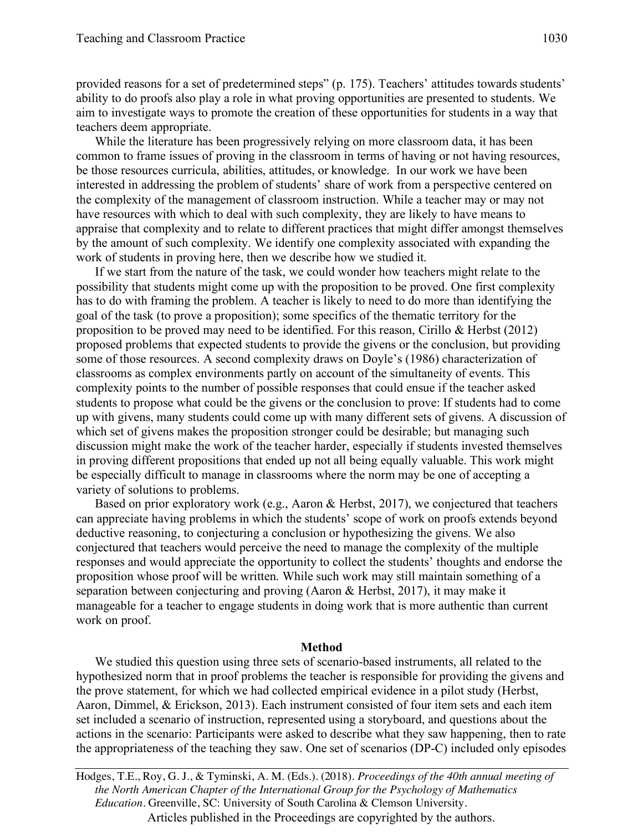provided reasons for a set of predetermined steps" (p. 175). Teachers' attitudes towards students' ability to do proofs also play a role in what proving opportunities are presented to students. We aim to investigate ways to promote the creation of these opportunities for students in a way that teachers deem appropriate.

While the literature has been progressively relying on more classroom data, it has been common to frame issues of proving in the classroom in terms of having or not having resources, be those resources curricula, abilities, attitudes, or knowledge. In our work we have been interested in addressing the problem of students' share of work from a perspective centered on the complexity of the management of classroom instruction. While a teacher may or may not have resources with which to deal with such complexity, they are likely to have means to appraise that complexity and to relate to different practices that might differ amongst themselves by the amount of such complexity. We identify one complexity associated with expanding the work of students in proving here, then we describe how we studied it.

If we start from the nature of the task, we could wonder how teachers might relate to the possibility that students might come up with the proposition to be proved. One first complexity has to do with framing the problem. A teacher is likely to need to do more than identifying the goal of the task (to prove a proposition); some specifics of the thematic territory for the proposition to be proved may need to be identified. For this reason, Cirillo & Herbst (2012) proposed problems that expected students to provide the givens or the conclusion, but providing some of those resources. A second complexity draws on Doyle's (1986) characterization of classrooms as complex environments partly on account of the simultaneity of events. This complexity points to the number of possible responses that could ensue if the teacher asked students to propose what could be the givens or the conclusion to prove: If students had to come up with givens, many students could come up with many different sets of givens. A discussion of which set of givens makes the proposition stronger could be desirable; but managing such discussion might make the work of the teacher harder, especially if students invested themselves in proving different propositions that ended up not all being equally valuable. This work might be especially difficult to manage in classrooms where the norm may be one of accepting a variety of solutions to problems.

Based on prior exploratory work (e.g., Aaron & Herbst, 2017), we conjectured that teachers can appreciate having problems in which the students' scope of work on proofs extends beyond deductive reasoning, to conjecturing a conclusion or hypothesizing the givens. We also conjectured that teachers would perceive the need to manage the complexity of the multiple responses and would appreciate the opportunity to collect the students' thoughts and endorse the proposition whose proof will be written. While such work may still maintain something of a separation between conjecturing and proving (Aaron & Herbst, 2017), it may make it manageable for a teacher to engage students in doing work that is more authentic than current work on proof.

### **Method**

We studied this question using three sets of scenario-based instruments, all related to the hypothesized norm that in proof problems the teacher is responsible for providing the givens and the prove statement, for which we had collected empirical evidence in a pilot study (Herbst, Aaron, Dimmel, & Erickson, 2013). Each instrument consisted of four item sets and each item set included a scenario of instruction, represented using a storyboard, and questions about the actions in the scenario: Participants were asked to describe what they saw happening, then to rate the appropriateness of the teaching they saw. One set of scenarios (DP-C) included only episodes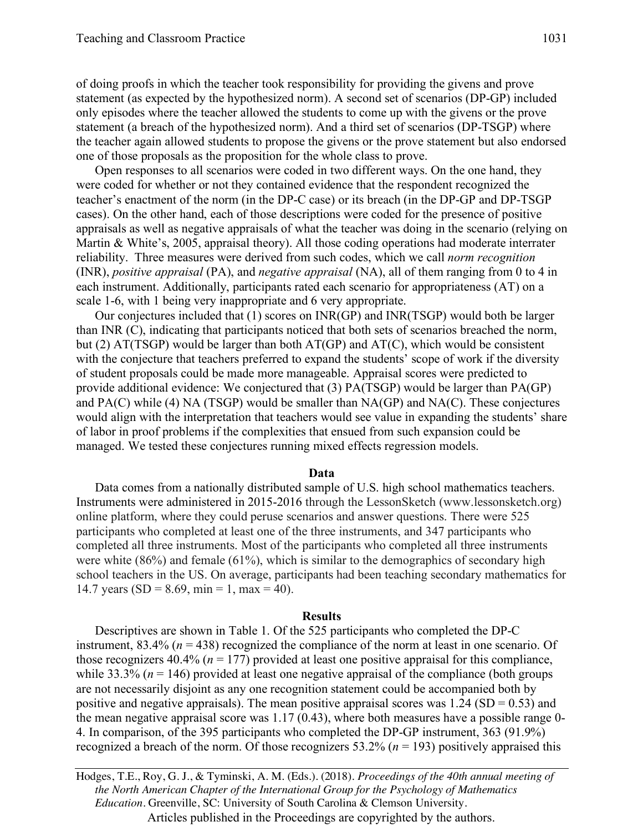of doing proofs in which the teacher took responsibility for providing the givens and prove statement (as expected by the hypothesized norm). A second set of scenarios (DP-GP) included only episodes where the teacher allowed the students to come up with the givens or the prove statement (a breach of the hypothesized norm). And a third set of scenarios (DP-TSGP) where the teacher again allowed students to propose the givens or the prove statement but also endorsed one of those proposals as the proposition for the whole class to prove.

Open responses to all scenarios were coded in two different ways. On the one hand, they were coded for whether or not they contained evidence that the respondent recognized the teacher's enactment of the norm (in the DP-C case) or its breach (in the DP-GP and DP-TSGP cases). On the other hand, each of those descriptions were coded for the presence of positive appraisals as well as negative appraisals of what the teacher was doing in the scenario (relying on Martin & White's, 2005, appraisal theory). All those coding operations had moderate interrater reliability. Three measures were derived from such codes, which we call *norm recognition* (INR), *positive appraisal* (PA), and *negative appraisal* (NA), all of them ranging from 0 to 4 in each instrument. Additionally, participants rated each scenario for appropriateness (AT) on a scale 1-6, with 1 being very inappropriate and 6 very appropriate.

Our conjectures included that (1) scores on INR(GP) and INR(TSGP) would both be larger than INR (C), indicating that participants noticed that both sets of scenarios breached the norm, but (2)  $AT(TSGP)$  would be larger than both  $AT(GP)$  and  $AT(C)$ , which would be consistent with the conjecture that teachers preferred to expand the students' scope of work if the diversity of student proposals could be made more manageable. Appraisal scores were predicted to provide additional evidence: We conjectured that (3) PA(TSGP) would be larger than PA(GP) and  $PA(C)$  while (4) NA (TSGP) would be smaller than  $NA(GP)$  and  $NA(C)$ . These conjectures would align with the interpretation that teachers would see value in expanding the students' share of labor in proof problems if the complexities that ensued from such expansion could be managed. We tested these conjectures running mixed effects regression models.

### **Data**

Data comes from a nationally distributed sample of U.S. high school mathematics teachers. Instruments were administered in 2015-2016 through the LessonSketch (www.lessonsketch.org) online platform, where they could peruse scenarios and answer questions. There were 525 participants who completed at least one of the three instruments, and 347 participants who completed all three instruments. Most of the participants who completed all three instruments were white (86%) and female (61%), which is similar to the demographics of secondary high school teachers in the US. On average, participants had been teaching secondary mathematics for 14.7 years (SD = 8.69, min = 1, max = 40).

#### **Results**

Descriptives are shown in Table 1. Of the 525 participants who completed the DP-C instrument, 83.4% (*n* = 438) recognized the compliance of the norm at least in one scenario. Of those recognizers  $40.4\%$  ( $n = 177$ ) provided at least one positive appraisal for this compliance, while 33.3% ( $n = 146$ ) provided at least one negative appraisal of the compliance (both groups are not necessarily disjoint as any one recognition statement could be accompanied both by positive and negative appraisals). The mean positive appraisal scores was  $1.24$  (SD = 0.53) and the mean negative appraisal score was  $1.17 \, (0.43)$ , where both measures have a possible range 0-4. In comparison, of the 395 participants who completed the DP-GP instrument, 363 (91.9%) recognized a breach of the norm. Of those recognizers 53.2% (*n* = 193) positively appraised this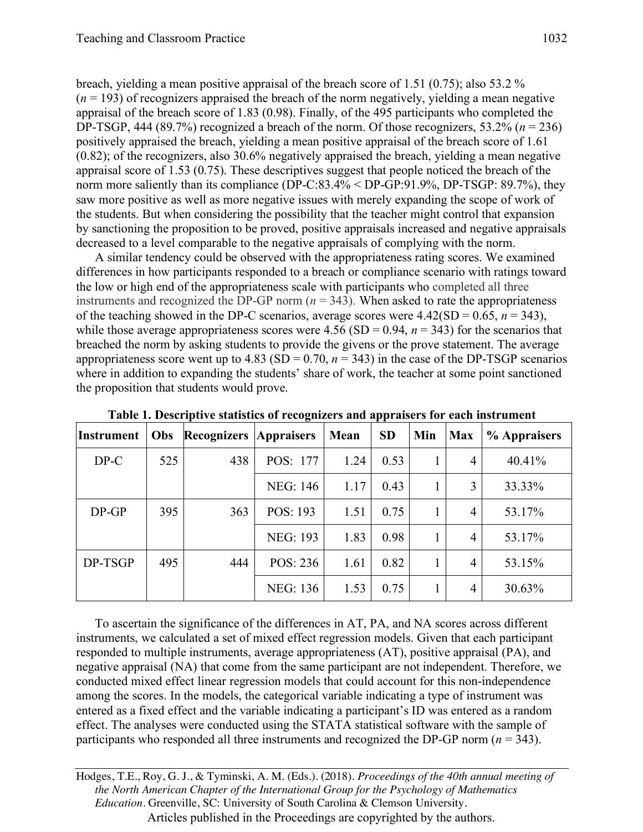breach, yielding a mean positive appraisal of the breach score of 1.51 (0.75); also 53.2 %  $(n = 193)$  of recognizers appraised the breach of the norm negatively, yielding a mean negative appraisal of the breach score of 1.83 (0.98). Finally, of the 495 participants who completed the DP-TSGP, 444 (89.7%) recognized a breach of the norm. Of those recognizers, 53.2% (*n* = 236) positively appraised the breach, yielding a mean positive appraisal of the breach score of 1.61 (0.82); of the recognizers, also 30.6% negatively appraised the breach, yielding a mean negative appraisal score of 1.53 (0.75). These descriptives suggest that people noticed the breach of the norm more saliently than its compliance (DP-C:83.4% < DP-GP:91.9%, DP-TSGP: 89.7%), they saw more positive as well as more negative issues with merely expanding the scope of work of the students. But when considering the possibility that the teacher might control that expansion by sanctioning the proposition to be proved, positive appraisals increased and negative appraisals decreased to a level comparable to the negative appraisals of complying with the norm.

A similar tendency could be observed with the appropriateness rating scores. We examined differences in how participants responded to a breach or compliance scenario with ratings toward the low or high end of the appropriateness scale with participants who completed all three instruments and recognized the DP-GP norm  $(n = 343)$ . When asked to rate the appropriateness of the teaching showed in the DP-C scenarios, average scores were  $4.42(SD = 0.65, n = 343)$ , while those average appropriateness scores were  $4.56$  (SD = 0.94,  $n = 343$ ) for the scenarios that breached the norm by asking students to provide the givens or the prove statement. The average appropriateness score went up to 4.83 (SD =  $0.70$ ,  $n = 343$ ) in the case of the DP-TSGP scenarios where in addition to expanding the students' share of work, the teacher at some point sanctioned the proposition that students would prove.

| <b>Instrument</b> | Obs | <b>Recognizers</b> | <b>Appraisers</b> | Mean | <b>SD</b> | Min | <b>Max</b> | % Appraisers |
|-------------------|-----|--------------------|-------------------|------|-----------|-----|------------|--------------|
| $DP-C$            | 525 | 438                | POS: 177          | 1.24 | 0.53      |     | 4          | 40.41%       |
|                   |     |                    | <b>NEG: 146</b>   | 1.17 | 0.43      |     | 3          | 33.33%       |
| $DP-GP$           | 395 | 363                | POS: 193          | 1.51 | 0.75      |     | 4          | 53.17%       |
|                   |     |                    | <b>NEG: 193</b>   | 1.83 | 0.98      |     | 4          | 53.17%       |
| DP-TSGP           | 495 | 444                | POS: 236          | 1.61 | 0.82      |     | 4          | 53.15%       |
|                   |     |                    | <b>NEG: 136</b>   | 1.53 | 0.75      |     | 4          | 30.63%       |

**Table 1. Descriptive statistics of recognizers and appraisers for each instrument**

To ascertain the significance of the differences in AT, PA, and NA scores across different instruments, we calculated a set of mixed effect regression models. Given that each participant responded to multiple instruments, average appropriateness (AT), positive appraisal (PA), and negative appraisal (NA) that come from the same participant are not independent. Therefore, we conducted mixed effect linear regression models that could account for this non-independence among the scores. In the models, the categorical variable indicating a type of instrument was entered as a fixed effect and the variable indicating a participant's ID was entered as a random effect. The analyses were conducted using the STATA statistical software with the sample of participants who responded all three instruments and recognized the DP-GP norm (*n* = 343).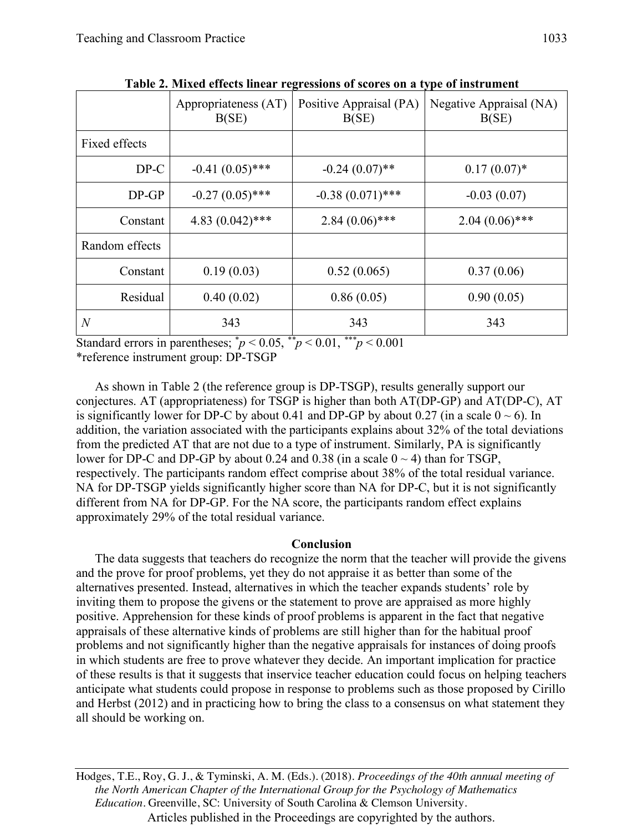|                | Appropriateness (AT)<br>B(SE) | Positive Appraisal (PA)<br>B(SE) | Negative Appraisal (NA)<br>B(SE) |  |
|----------------|-------------------------------|----------------------------------|----------------------------------|--|
| Fixed effects  |                               |                                  |                                  |  |
| $DP-C$         | $-0.41(0.05)$ ***             | $-0.24(0.07)$ **                 | $0.17(0.07)^*$                   |  |
| $DP-GP$        | $-0.27(0.05)$ ***             | $-0.38(0.071)$ ***               | $-0.03(0.07)$                    |  |
| Constant       | $4.83(0.042)$ ***             | $2.84(0.06)$ ***                 | $2.04(0.06)$ ***                 |  |
| Random effects |                               |                                  |                                  |  |
| Constant       | 0.19(0.03)                    | 0.52(0.065)                      | 0.37(0.06)                       |  |
| Residual       | 0.40(0.02)                    | 0.86(0.05)                       | 0.90(0.05)                       |  |
| $\overline{N}$ | 343                           | 343                              | 343                              |  |

**Table 2. Mixed effects linear regressions of scores on a type of instrument**

Standard errors in parentheses;  $\frac{p}{p}$  < 0.05,  $\frac{p}{p}$  < 0.01,  $\frac{p}{p}$  < 0.001 \*reference instrument group: DP-TSGP

As shown in Table 2 (the reference group is DP-TSGP), results generally support our conjectures. AT (appropriateness) for TSGP is higher than both AT(DP-GP) and AT(DP-C), AT is significantly lower for DP-C by about 0.41 and DP-GP by about 0.27 (in a scale  $0 \sim 6$ ). In addition, the variation associated with the participants explains about 32% of the total deviations from the predicted AT that are not due to a type of instrument. Similarly, PA is significantly lower for DP-C and DP-GP by about 0.24 and 0.38 (in a scale  $0 \sim 4$ ) than for TSGP, respectively. The participants random effect comprise about 38% of the total residual variance. NA for DP-TSGP yields significantly higher score than NA for DP-C, but it is not significantly different from NA for DP-GP. For the NA score, the participants random effect explains approximately 29% of the total residual variance.

## **Conclusion**

The data suggests that teachers do recognize the norm that the teacher will provide the givens and the prove for proof problems, yet they do not appraise it as better than some of the alternatives presented. Instead, alternatives in which the teacher expands students' role by inviting them to propose the givens or the statement to prove are appraised as more highly positive. Apprehension for these kinds of proof problems is apparent in the fact that negative appraisals of these alternative kinds of problems are still higher than for the habitual proof problems and not significantly higher than the negative appraisals for instances of doing proofs in which students are free to prove whatever they decide. An important implication for practice of these results is that it suggests that inservice teacher education could focus on helping teachers anticipate what students could propose in response to problems such as those proposed by Cirillo and Herbst (2012) and in practicing how to bring the class to a consensus on what statement they all should be working on.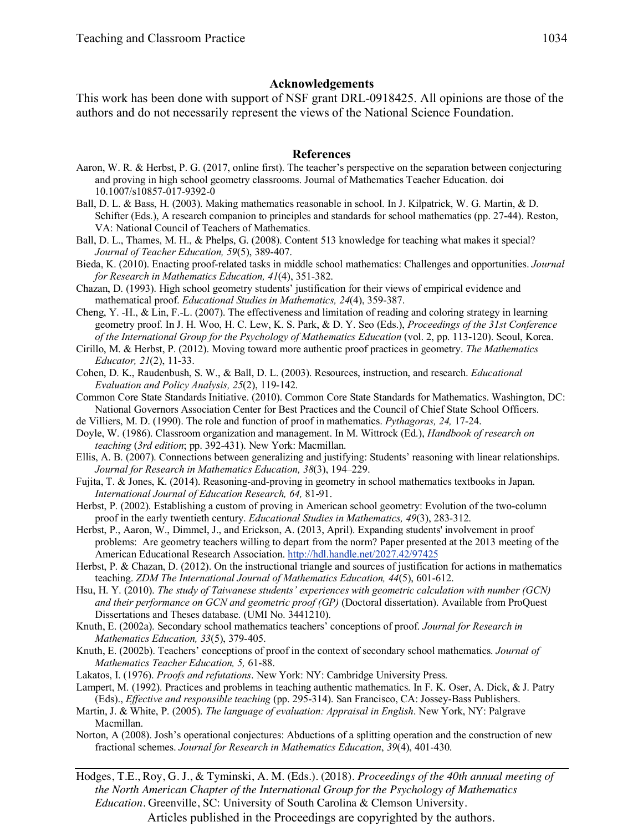## **Acknowledgements**

This work has been done with support of NSF grant DRL-0918425. All opinions are those of the authors and do not necessarily represent the views of the National Science Foundation.

### **References**

- Aaron, W. R. & Herbst, P. G. (2017, online first). The teacher's perspective on the separation between conjecturing and proving in high school geometry classrooms. Journal of Mathematics Teacher Education. doi 10.1007/s10857-017-9392-0
- Ball, D. L. & Bass, H. (2003). Making mathematics reasonable in school. In J. Kilpatrick, W. G. Martin, & D. Schifter (Eds.), A research companion to principles and standards for school mathematics (pp. 27-44). Reston, VA: National Council of Teachers of Mathematics.
- Ball, D. L., Thames, M. H., & Phelps, G. (2008). Content 513 knowledge for teaching what makes it special? *Journal of Teacher Education, 59*(5), 389-407.
- Bieda, K. (2010). Enacting proof-related tasks in middle school mathematics: Challenges and opportunities. *Journal for Research in Mathematics Education, 41*(4), 351-382.
- Chazan, D. (1993). High school geometry students' justification for their views of empirical evidence and mathematical proof. *Educational Studies in Mathematics, 24*(4), 359-387.
- Cheng, Y. -H., & Lin, F.-L. (2007). The effectiveness and limitation of reading and coloring strategy in learning geometry proof. In J. H. Woo, H. C. Lew, K. S. Park, & D. Y. Seo (Eds.), *Proceedings of the 31st Conference of the International Group for the Psychology of Mathematics Education* (vol. 2, pp. 113-120). Seoul, Korea.
- Cirillo, M. & Herbst, P. (2012). Moving toward more authentic proof practices in geometry. *The Mathematics Educator, 21*(2), 11-33.
- Cohen, D. K., Raudenbush, S. W., & Ball, D. L. (2003). Resources, instruction, and research. *Educational Evaluation and Policy Analysis, 25*(2), 119-142.
- Common Core State Standards Initiative. (2010). Common Core State Standards for Mathematics. Washington, DC: National Governors Association Center for Best Practices and the Council of Chief State School Officers.
- de Villiers, M. D. (1990). The role and function of proof in mathematics. *Pythagoras, 24,* 17-24.
- Doyle, W. (1986). Classroom organization and management. In M. Wittrock (Ed.), *Handbook of research on teaching* (*3rd edition*; pp. 392-431). New York: Macmillan.
- Ellis, A. B. (2007). Connections between generalizing and justifying: Students' reasoning with linear relationships. *Journal for Research in Mathematics Education, 38*(3), 194–229.
- Fujita, T. & Jones, K. (2014). Reasoning-and-proving in geometry in school mathematics textbooks in Japan. *International Journal of Education Research, 64,* 81-91.
- Herbst, P. (2002). Establishing a custom of proving in American school geometry: Evolution of the two-column proof in the early twentieth century. *Educational Studies in Mathematics, 49*(3), 283-312.
- Herbst, P., Aaron, W., Dimmel, J., and Erickson, A. (2013, April). Expanding students' involvement in proof problems: Are geometry teachers willing to depart from the norm? Paper presented at the 2013 meeting of the American Educational Research Association. http://hdl.handle.net/2027.42/97425
- Herbst, P. & Chazan, D. (2012). On the instructional triangle and sources of justification for actions in mathematics teaching. *ZDM The International Journal of Mathematics Education, 44*(5), 601-612.
- Hsu, H. Y. (2010). *The study of Taiwanese students' experiences with geometric calculation with number (GCN) and their performance on GCN and geometric proof (GP)* (Doctoral dissertation). Available from ProQuest Dissertations and Theses database. (UMI No. 3441210).
- Knuth, E. (2002a). Secondary school mathematics teachers' conceptions of proof. *Journal for Research in Mathematics Education, 33*(5), 379-405.
- Knuth, E. (2002b). Teachers' conceptions of proof in the context of secondary school mathematics. *Journal of Mathematics Teacher Education, 5,* 61-88.
- Lakatos, I. (1976). *Proofs and refutations*. New York: NY: Cambridge University Press.
- Lampert, M. (1992). Practices and problems in teaching authentic mathematics. In F. K. Oser, A. Dick, & J. Patry (Eds)., *Effective and responsible teaching* (pp. 295-314). San Francisco, CA: Jossey-Bass Publishers.
- Martin, J. & White, P. (2005). *The language of evaluation: Appraisal in English*. New York, NY: Palgrave Macmillan.
- Norton, A (2008). Josh's operational conjectures: Abductions of a splitting operation and the construction of new fractional schemes. *Journal for Research in Mathematics Education*, *39*(4), 401-430.

Hodges, T.E., Roy, G. J., & Tyminski, A. M. (Eds.). (2018). *Proceedings of the 40th annual meeting of the North American Chapter of the International Group for the Psychology of Mathematics Education*. Greenville, SC: University of South Carolina & Clemson University.

Articles published in the Proceedings are copyrighted by the authors.